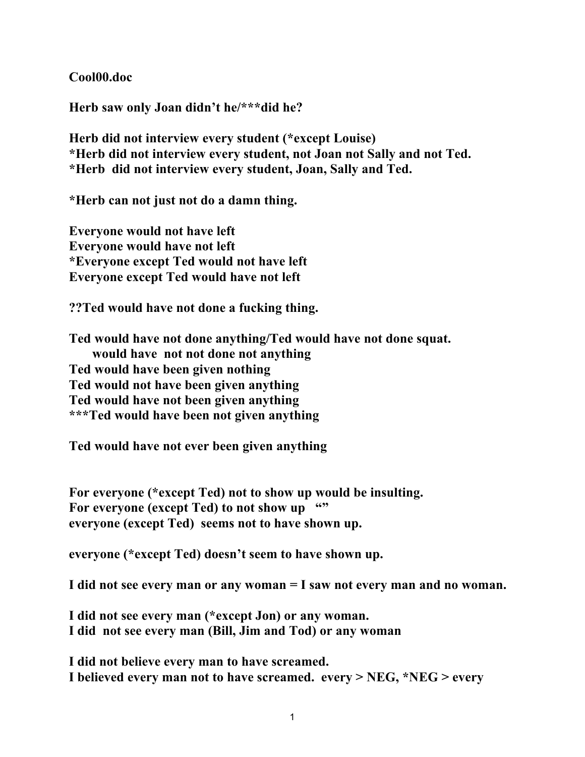**Cool00.doc**

**Herb saw only Joan didn't he/\*\*\*did he?**

**Herb did not interview every student (\*except Louise) \*Herb did not interview every student, not Joan not Sally and not Ted. \*Herb did not interview every student, Joan, Sally and Ted.**

**\*Herb can not just not do a damn thing.**

**Everyone would not have left Everyone would have not left \*Everyone except Ted would not have left Everyone except Ted would have not left**

**??Ted would have not done a fucking thing.**

**Ted would have not done anything/Ted would have not done squat. would have not not done not anything Ted would have been given nothing Ted would not have been given anything Ted would have not been given anything \*\*\*Ted would have been not given anything**

**Ted would have not ever been given anything**

**For everyone (\*except Ted) not to show up would be insulting.** For everyone (except Ted) to not show up "" **everyone (except Ted) seems not to have shown up.**

**everyone (\*except Ted) doesn't seem to have shown up.**

**I did not see every man or any woman = I saw not every man and no woman.**

**I did not see every man (\*except Jon) or any woman. I did not see every man (Bill, Jim and Tod) or any woman**

**I did not believe every man to have screamed. I believed every man not to have screamed. every > NEG, \*NEG > every**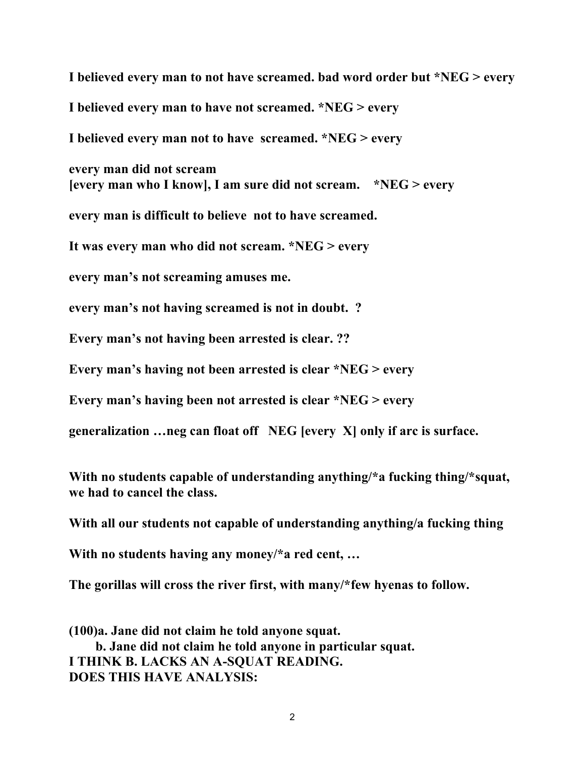**I believed every man to not have screamed. bad word order but \*NEG > every I believed every man to have not screamed. \*NEG > every I believed every man not to have screamed. \*NEG > every every man did not scream [every man who I know], I am sure did not scream. \*NEG > every every man is difficult to believe not to have screamed. It was every man who did not scream. \*NEG > every every man's not screaming amuses me. every man's not having screamed is not in doubt. ? Every man's not having been arrested is clear. ?? Every man's having not been arrested is clear \*NEG > every Every man's having been not arrested is clear \*NEG > every generalization …neg can float off NEG [every X] only if arc is surface. With no students capable of understanding anything/\*a fucking thing/\*squat, we had to cancel the class.**

**With all our students not capable of understanding anything/a fucking thing**

**With no students having any money/\*a red cent, …**

**The gorillas will cross the river first, with many/\*few hyenas to follow.**

**(100)a. Jane did not claim he told anyone squat. b. Jane did not claim he told anyone in particular squat. I THINK B. LACKS AN A-SQUAT READING. DOES THIS HAVE ANALYSIS:**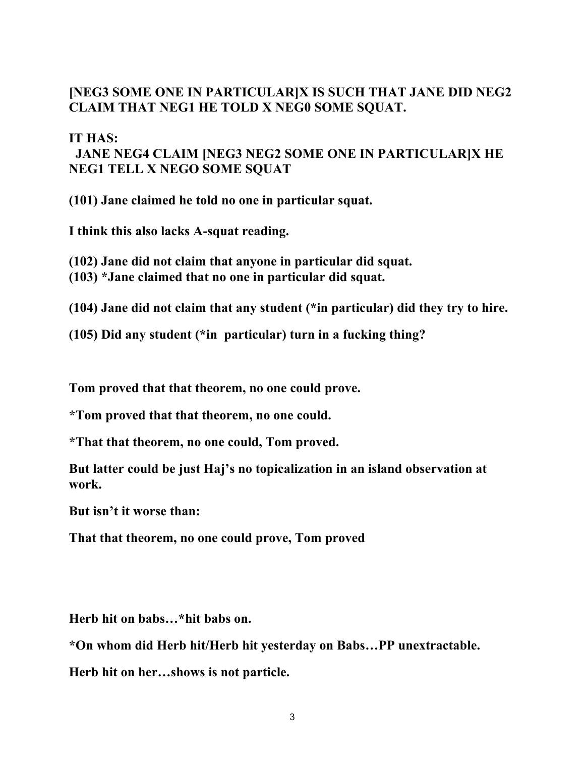## **[NEG3 SOME ONE IN PARTICULAR]X IS SUCH THAT JANE DID NEG2 CLAIM THAT NEG1 HE TOLD X NEG0 SOME SQUAT.**

## **IT HAS:**

## **JANE NEG4 CLAIM [NEG3 NEG2 SOME ONE IN PARTICULAR]X HE NEG1 TELL X NEGO SOME SQUAT**

**(101) Jane claimed he told no one in particular squat.**

**I think this also lacks A-squat reading.**

- **(102) Jane did not claim that anyone in particular did squat.**
- **(103) \*Jane claimed that no one in particular did squat.**

**(104) Jane did not claim that any student (\*in particular) did they try to hire.**

**(105) Did any student (\*in particular) turn in a fucking thing?**

**Tom proved that that theorem, no one could prove.**

**\*Tom proved that that theorem, no one could.**

**\*That that theorem, no one could, Tom proved.**

**But latter could be just Haj's no topicalization in an island observation at work.**

**But isn't it worse than:**

**That that theorem, no one could prove, Tom proved**

**Herb hit on babs…\*hit babs on.**

**\*On whom did Herb hit/Herb hit yesterday on Babs…PP unextractable.**

**Herb hit on her…shows is not particle.**